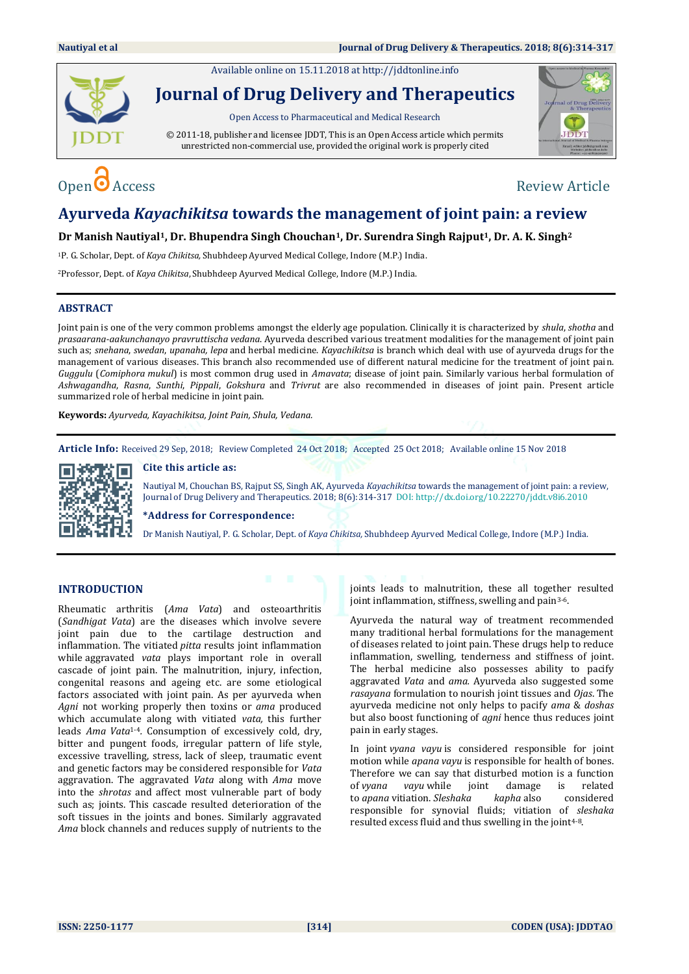Available online on 15.11.2018 a[t http://jddtonline.info](http://jddtonline.info/)



# **Journal of Drug Delivery and Therapeutics**

Open Access to Pharmaceutical and Medical Research

© 2011-18, publisher and licensee JDDT, This is an Open Access article which permits unrestricted non-commercial use, provided the original work is properly cited



# $\Omega$  Access Review Article

## **Ayurveda** *Kayachikitsa* **towards the management of joint pain: a review**

### **Dr Manish Nautiyal1, Dr. Bhupendra Singh Chouchan1, Dr. Surendra Singh Rajput1, Dr. A. K. Singh<sup>2</sup>**

<sup>1</sup>P. G. Scholar, Dept. of *Kaya Chikitsa,* Shubhdeep Ayurved Medical College, Indore (M.P.) India.

<sup>2</sup>Professor, Dept. of *Kaya Chikitsa*, Shubhdeep Ayurved Medical College, Indore (M.P.) India.

### **ABSTRACT**

Joint pain is one of the very common problems amongst the elderly age population. Clinically it is characterized by *shula*, *shotha* and *prasaarana-aakunchanayo pravruttischa vedana*. Ayurveda described various treatment modalities for the management of joint pain such as; *snehana*, *swedan*, *upanaha, lepa* and herbal medicine. *Kayachikitsa* is branch which deal with use of ayurveda drugs for the management of various diseases. This branch also recommended use of different natural medicine for the treatment of joint pain. *Guggulu* (*Comiphora mukul*) is most common drug used in *Amavata*; disease of joint pain. Similarly various herbal formulation of *Ashwagandha*, *Rasna*, *Sunthi*, *Pippali*, *Gokshura* and *Trivrut* are also recommended in diseases of joint pain. Present article summarized role of herbal medicine in joint pain.

**Keywords:** *Ayurveda, Kayachikitsa, Joint Pain, Shula, Vedana.* 

**Article Info:** Received 29 Sep, 2018; Review Completed 24 Oct 2018; Accepted 25 Oct 2018; Available online 15 Nov 2018



### **Cite this article as:**

Nautiyal M, Chouchan BS, Rajput SS, Singh AK, Ayurveda *Kayachikitsa* towards the management of joint pain: a review, Journal of Drug Delivery and Therapeutics. 2018; 8(6):314-317 DOI: <http://dx.doi.org/10.22270/jddt.v8i6.2010>

**\*Address for Correspondence:** 

Dr Manish Nautiyal, P. G. Scholar, Dept. of *Kaya Chikitsa,* Shubhdeep Ayurved Medical College, Indore (M.P.) India.

### **INTRODUCTION**

Rheumatic arthritis (*Ama Vata*) and osteoarthritis (*Sandhigat Vata*) are the diseases which involve severe joint pain due to the cartilage destruction and inflammation. The vitiated *pitta* results joint inflammation while aggravated *vata* plays important role in overall cascade of joint pain. The malnutrition, injury, infection, congenital reasons and ageing etc. are some etiological factors associated with joint pain. As per ayurveda when *Agni* not working properly then toxins or *ama* produced which accumulate along with vitiated *vata,* this further leads *Ama Vata*1-4*.* Consumption of excessively cold, dry, bitter and pungent foods, irregular pattern of life style, excessive travelling, stress, lack of sleep, traumatic event and genetic factors may be considered responsible for *Vata* aggravation. The aggravated *Vata* along with *Ama* move into the *shrotas* and affect most vulnerable part of body such as; joints. This cascade resulted deterioration of the soft tissues in the joints and bones. Similarly aggravated *Ama* block channels and reduces supply of nutrients to the joints leads to malnutrition, these all together resulted joint inflammation, stiffness, swelling and pain<sup>3-6</sup>.

Ayurveda the natural way of treatment recommended many traditional herbal formulations for the management of diseases related to joint pain. These drugs help to reduce inflammation, swelling, tenderness and stiffness of joint. The herbal medicine also possesses ability to pacify aggravated *Vata* and *ama.* Ayurveda also suggested some *rasayana* formulation to nourish joint tissues and *Ojas*. The ayurveda medicine not only helps to pacify *ama* & *doshas* but also boost functioning of *agni* hence thus reduces joint pain in early stages.

In joint *vyana vayu* is considered responsible for joint motion while *apana vayu* is responsible for health of bones. Therefore we can say that disturbed motion is a function of *vyana vayu* while joint damage is related to *apana* vitiation. *Sleshaka kapha* also considered responsible for synovial fluids; vitiation of *sleshaka* resulted excess fluid and thus swelling in the joint<sup>4-8</sup>.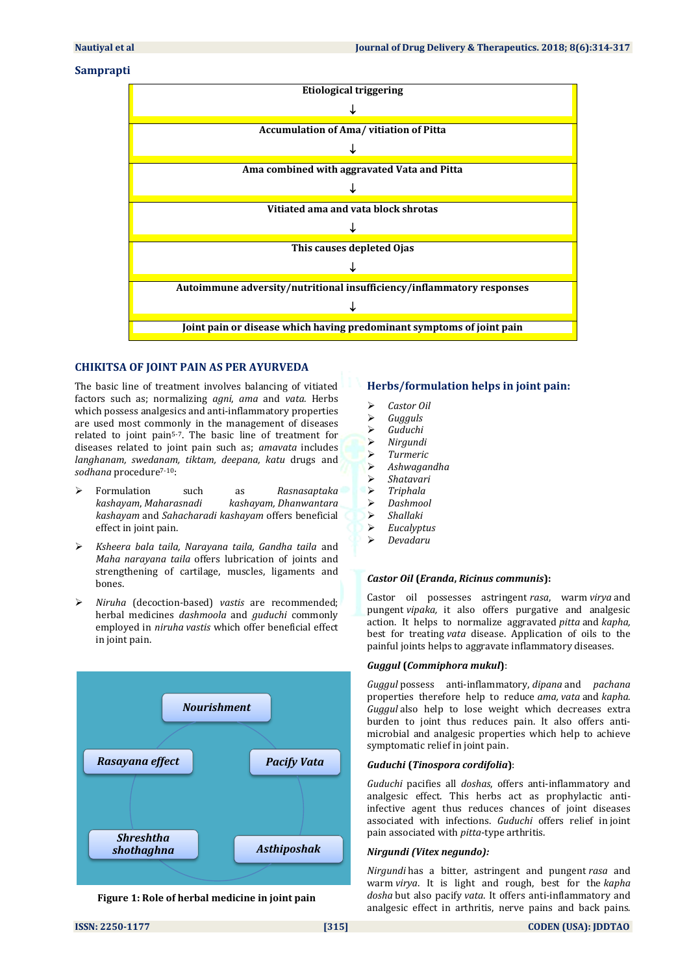### **Samprapti**



### **CHIKITSA OF JOINT PAIN AS PER AYURVEDA**

The basic line of treatment involves balancing of vitiated factors such as; normalizing *agni*, *ama* and *vata.* Herbs which possess analgesics and anti-inflammatory properties are used most commonly in the management of diseases related to joint pain5-7. The basic line of treatment for diseases related to joint pain such as; *amavata* includes *langhanam, swedanam, tiktam, deepana, katu* drugs and sodhana procedure<sup>7-10</sup>:

- Formulation such as *Rasnasaptaka kashayam*, *[Maharasnadi](http://35.200.164.191/maharasnadi-kashayam-100-tablets.html) kashayam, [Dhanwantara](https://store.nirogam.com/products/avn-dhanwanataram-kashayam-100-tablets?variant=51111169493) [kashayam](https://store.nirogam.com/products/avn-dhanwanataram-kashayam-100-tablets?variant=51111169493)* and *Sahacharadi kashayam* offers beneficial effect in joint pain.
- *[Ksheera](https://store.nirogam.com/pages/search-results-1?query=Ksheerabala%20Oil) bala taila, Narayana taila, Gandha taila* and *Maha [narayana](https://store.nirogam.com/products/mahanarayana-oil-200-ml?variant=3202488565781) taila* offers lubrication of joints and strengthening of cartilage, muscles, ligaments and bones.
- *Niruha* (decoction-based) *vastis* are recommended; herbal medicines *dashmoola* and *guduchi* commonly employed in *niruha vastis* which offer beneficial effect in joint pain.





### **Herbs/formulation helps in joint pain:**

- *Castor Oil*
- *Gugguls*
- *Guduchi*
- *Nirgundi*
- 
- *Turmeric*
- *Ashwagandha*
- *Shatavari*
- *Triphala Dashmool*
- 
- *Shallaki*
- *Eucalyptus*
- *Devadaru*

### *Castor Oil* **(***Eranda***,** *Ricinus communis***):**

Castor oil possesses astringent *rasa*, warm *virya* and pungent *vipaka,* it also offers purgative and analgesic action. It helps to normalize aggravated *pitta* and *kapha,* best for treating *vata* disease. Application of oils to the painful joints helps to aggravate inflammatory diseases.

### *Guggul* **(***Commiphora mukul***)**:

*Guggul* possess anti-inflammatory, *dipana* and *pachana* properties therefore help to reduce *ama, vata* and *kapha. Guggul* also help to lose weight which decreases extra burden to joint thus reduces pain. It also offers antimicrobial and analgesic properties which help to achieve symptomatic relief in joint pain.

### *Guduchi* **(***Tinospora cordifolia***)**:

*Guduchi* pacifies all *doshas*, offers anti-inflammatory and analgesic effect. This herbs act as prophylactic antiinfective agent thus reduces chances of joint diseases associated with infections. *Guduchi* offers relief in joint pain associated with *pitta*-type arthritis.

### *Nirgundi (Vitex negundo):*

*Nirgundi* has a bitter, astringent and pungent *rasa* and warm *virya*. It is light and rough, best for the *kapha dosha* but also pacify *vata*. It offers anti-inflammatory and analgesic effect in arthritis, nerve pains and back pains.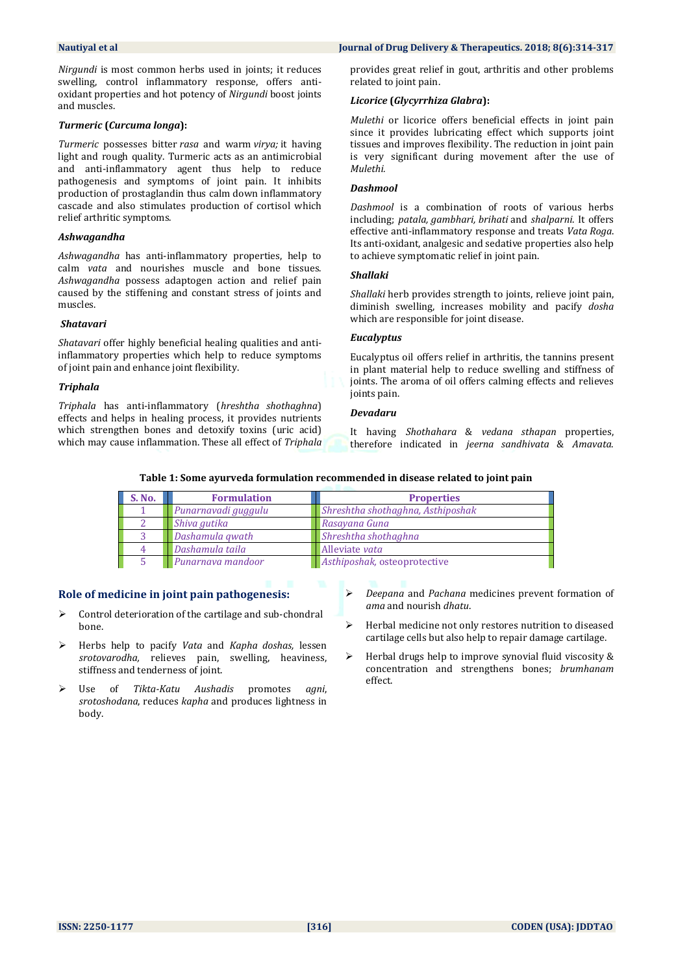*Nirgundi* is most common herbs used in joints; it reduces swelling, control inflammatory response, offers antioxidant properties and hot potency of *Nirgundi* boost joints and muscles.

### *Turmeric* **(***Curcuma longa***):**

*Turmeric* possesses bitter *rasa* and warm *virya;* it having light and rough quality. Turmeric acts as an antimicrobial and anti-inflammatory agent thus help to reduce pathogenesis and symptoms of joint pain. It inhibits production of prostaglandin thus calm down inflammatory cascade and also stimulates production of cortisol which relief arthritic symptoms.

### *Ashwagandha*

*Ashwagandha* has anti-inflammatory properties, help to calm *vata* and nourishes muscle and bone tissues. *Ashwagandha* possess adaptogen action and relief pain caused by the stiffening and constant stress of joints and muscles.

### *Shatavari*

*Shatavari* offer highly beneficial healing qualities and antiinflammatory properties which help to reduce symptoms of joint pain and enhance joint flexibility.

### *Triphala*

*Triphala* has anti-inflammatory (*hreshtha shothaghna*) effects and helps in healing process, it provides nutrients which strengthen bones and detoxify toxins (uric acid) which may cause inflammation. These all effect of *Triphala*

### **Nautiyal et al Journal of Drug Delivery & Therapeutics. 2018; 8(6):314-317**

provides great relief in gout, arthritis and other problems related to joint pain.

### *Licorice* **(***[Glycyrrhiza Glabra](https://allayurveda.com/shop/conscious-foods-licorice/)***):**

*Mulethi* or licorice offers beneficial effects in joint pain since it provides lubricating effect which supports joint tissues and improves flexibility. The reduction in joint pain is very significant during movement after the use of *Mulethi.*

### *Dashmool*

*Dashmool* is a combination of roots of various herbs including; *patala, gambhari, brihati* and *shalparni*. It offers effective anti-inflammatory response and treats *Vata Roga*. Its anti-oxidant, analgesic and sedative properties also help to achieve symptomatic relief in joint pain.

### *Shallaki*

*Shallaki* herb provides strength to joints, relieve joint pain, diminish swelling, increases mobility and pacify *dosha* which are responsible for joint disease.

### *Eucalyptus*

Eucalyptus oil offers relief in arthritis, the tannins present in plant material help to reduce swelling and stiffness of joints. The aroma of oil offers calming effects and relieves joints pain.

### *Devadaru*

It having *Shothahara* & *vedana sthapan* properties, therefore indicated in *jeerna sandhivata* & *Amavata*.

| Table 1: Some ayurveda formulation recommended in disease related to joint pain |  |  |  |  |  |
|---------------------------------------------------------------------------------|--|--|--|--|--|
|---------------------------------------------------------------------------------|--|--|--|--|--|

| S. No. | <b>Formulation</b>  | <b>Properties</b>                 |
|--------|---------------------|-----------------------------------|
|        | Punarnavadi guggulu | Shreshtha shothaghna, Asthiposhak |
|        | Shiva gutika        | Rasayana Guna                     |
|        | Dashamula gwath     | Shreshtha shothaghna              |
|        | Dashamula taila     | Alleviate vata                    |
|        | Punarnava mandoor   | Asthiposhak, osteoprotective      |

### **Role of medicine in joint pain pathogenesis:**

- Control deterioration of the cartilage and sub-chondral bone.
- Herbs help to pacify *Vata* and *Kapha doshas,* lessen *srotovarodha,* relieves pain, swelling, heaviness, stiffness and tenderness of joint.
- Use of *Tikta-Katu Aushadis* promotes *agni*, *srotoshodana*, reduces *kapha* and produces lightness in body.
- *Deepana* and *Pachana* medicines prevent formation of *ama* and nourish *dhatu*.
- $\triangleright$  Herbal medicine not only restores nutrition to diseased cartilage cells but also help to repair damage cartilage.
- $\triangleright$  Herbal drugs help to improve synovial fluid viscosity & concentration and strengthens bones; *brumhanam* effect.